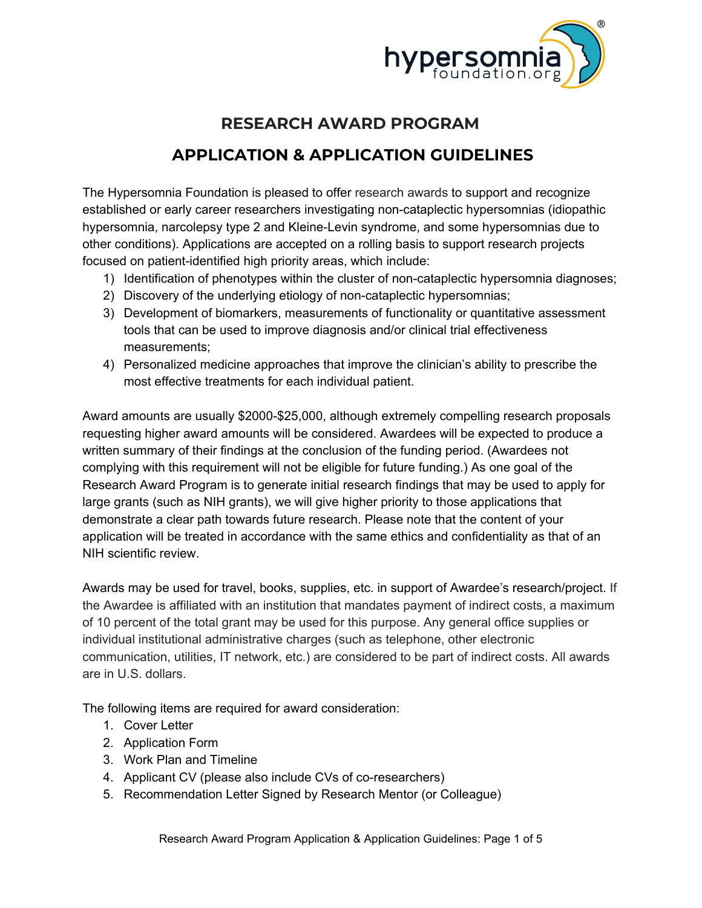

# **RESEARCH AWARD PROGRAM**

# **APPLICATION & APPLICATION GUIDELINES**

The Hypersomnia Foundation is pleased to offer research awards to support and recognize established or early career researchers investigating non-cataplectic hypersomnias (idiopathic hypersomnia, narcolepsy type 2 and Kleine-Levin syndrome, and some hypersomnias due to other conditions). Applications are accepted on a rolling basis to support research projects focused on patient-identified high priority areas, which include:

- 1) Identification of phenotypes within the cluster of non-cataplectic hypersomnia diagnoses;
- 2) Discovery of the underlying etiology of non-cataplectic hypersomnias;
- 3) Development of biomarkers, measurements of functionality or quantitative assessment tools that can be used to improve diagnosis and/or clinical trial effectiveness measurements;
- 4) Personalized medicine approaches that improve the clinician's ability to prescribe the most effective treatments for each individual patient.

Award amounts are usually \$2000-\$25,000, although extremely compelling research proposals requesting higher award amounts will be considered. Awardees will be expected to produce a written summary of their findings at the conclusion of the funding period. (Awardees not complying with this requirement will not be eligible for future funding.) As one goal of the Research Award Program is to generate initial research findings that may be used to apply for large grants (such as NIH grants), we will give higher priority to those applications that demonstrate a clear path towards future research. Please note that the content of your application will be treated in accordance with the same ethics and confidentiality as that of an NIH scientific review.

Awards may be used for travel, books, supplies, etc. in support of Awardee's research/project. If the Awardee is affiliated with an institution that mandates payment of indirect costs, a maximum of 10 percent of the total grant may be used for this purpose. Any general office supplies or individual institutional administrative charges (such as telephone, other electronic communication, utilities, IT network, etc.) are considered to be part of indirect costs. All awards are in U.S. dollars.

The following items are required for award consideration:

- 1. Cover Letter
- 2. Application Form
- 3. Work Plan and Timeline
- 4. Applicant CV (please also include CVs of co-researchers)
- 5. Recommendation Letter Signed by Research Mentor (or Colleague)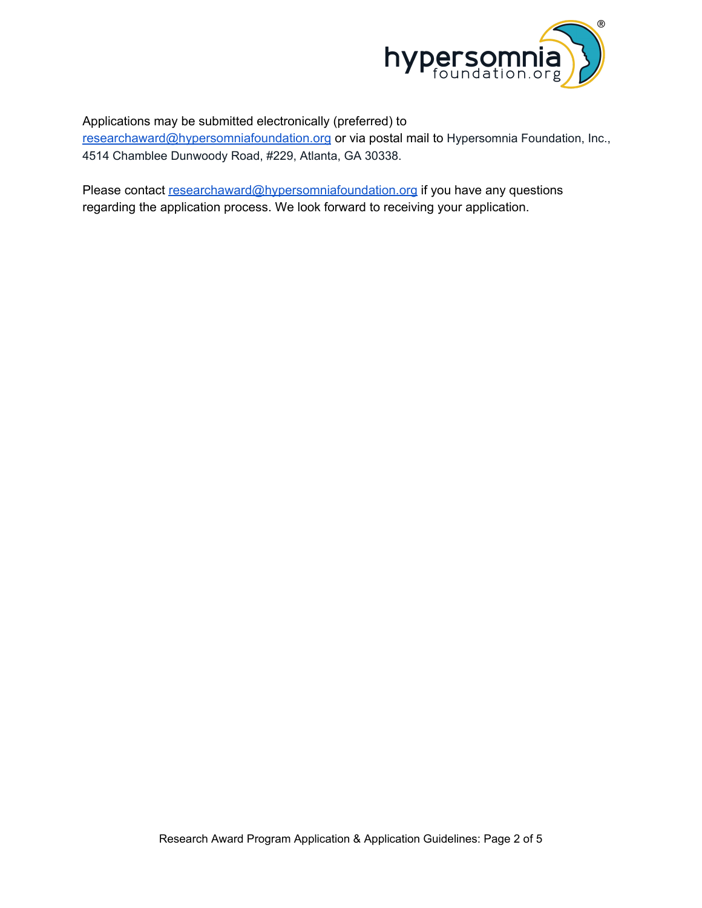

#### Applications may be submitted electronically (preferred) to

[researchaward@hypersomniafoundation.org](mailto:info@hypersomniafoundation.org) or via postal mail to Hypersomnia Foundation, Inc., 4514 Chamblee Dunwoody Road, #229, Atlanta, GA 30338.

Please contact [researchaward](mailto:info@hypersomniafoundation.org)[@hypersomniafoundation.org](mailto:diane@hypersomniafoundation.org) if you have any questions regarding the application process. We look forward to receiving your application.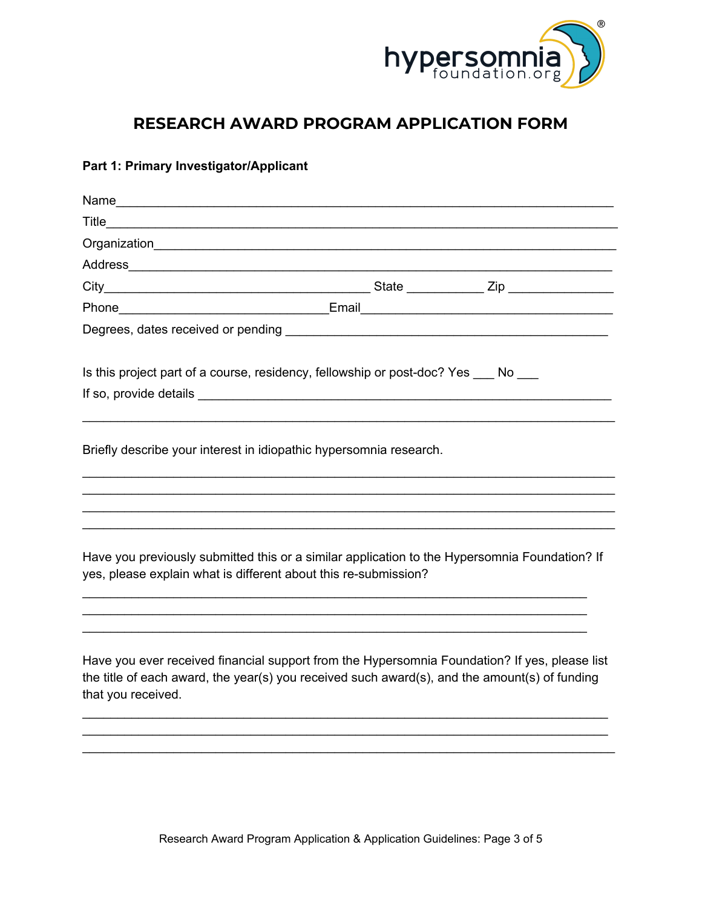

## **RESEARCH AWARD PROGRAM APPLICATION FORM**

### **Part 1: Primary Investigator/Applicant**

| <b>Title</b>                                                                                                                                                                                                         |  |
|----------------------------------------------------------------------------------------------------------------------------------------------------------------------------------------------------------------------|--|
|                                                                                                                                                                                                                      |  |
|                                                                                                                                                                                                                      |  |
|                                                                                                                                                                                                                      |  |
|                                                                                                                                                                                                                      |  |
| Degrees, dates received or pending example and a series of the series of the series of the series of the series                                                                                                      |  |
| Is this project part of a course, residency, fellowship or post-doc? Yes ____ No                                                                                                                                     |  |
| Briefly describe your interest in idiopathic hypersomnia research.                                                                                                                                                   |  |
| Have you previously submitted this or a similar application to the Hypersomnia Foundation? If                                                                                                                        |  |
| yes, please explain what is different about this re-submission?                                                                                                                                                      |  |
| Have you ever received financial support from the Hypersomnia Foundation? If yes, please list<br>the title of each award, the year(s) you received such award(s), and the amount(s) of funding<br>that you received. |  |
|                                                                                                                                                                                                                      |  |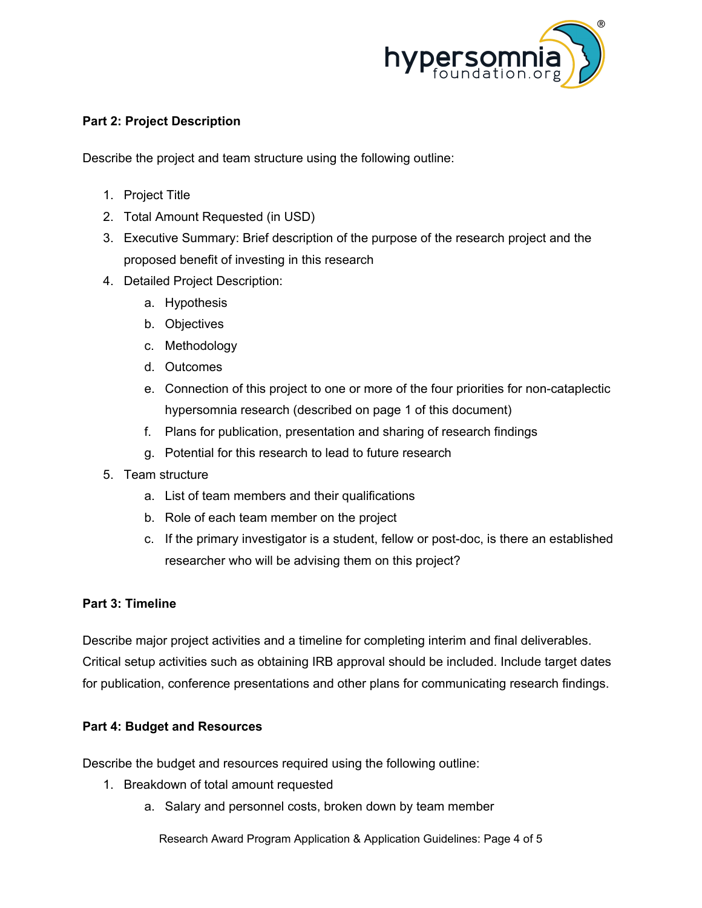

#### **Part 2: Project Description**

Describe the project and team structure using the following outline:

- 1. Project Title
- 2. Total Amount Requested (in USD)
- 3. Executive Summary: Brief description of the purpose of the research project and the proposed benefit of investing in this research
- 4. Detailed Project Description:
	- a. Hypothesis
	- b. Objectives
	- c. Methodology
	- d. Outcomes
	- e. Connection of this project to one or more of the four priorities for non-cataplectic hypersomnia research (described on page 1 of this document)
	- f. Plans for publication, presentation and sharing of research findings
	- g. Potential for this research to lead to future research
- 5. Team structure
	- a. List of team members and their qualifications
	- b. Role of each team member on the project
	- c. If the primary investigator is a student, fellow or post-doc, is there an established researcher who will be advising them on this project?

#### **Part 3: Timeline**

Describe major project activities and a timeline for completing interim and final deliverables. Critical setup activities such as obtaining IRB approval should be included. Include target dates for publication, conference presentations and other plans for communicating research findings.

#### **Part 4: Budget and Resources**

Describe the budget and resources required using the following outline:

- 1. Breakdown of total amount requested
	- a. Salary and personnel costs, broken down by team member

Research Award Program Application & Application Guidelines: Page 4 of 5